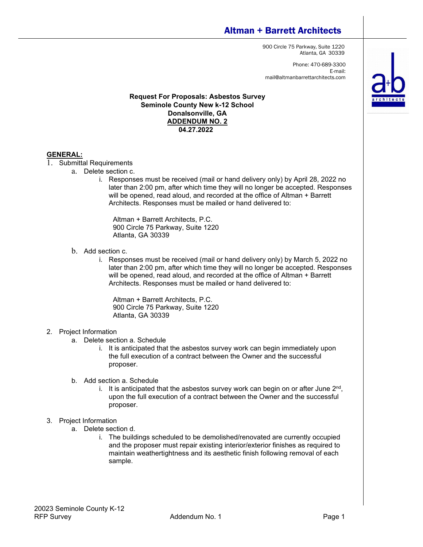# Altman + Barrett Architects

900 Circle 75 Parkway, Suite 1220 Atlanta, GA 30339

Phone: 470-689-3300 E-mail: mail@altmanbarrettarchitects.com

# **Request For Proposals: Asbestos Survey Seminole County New k-12 School Donalsonville, GA ADDENDUM NO. 2 04.27.2022**

## **GENERAL:**

- 1. Submittal Requirements
	- a. Delete section c.
		- i. Responses must be received (mail or hand delivery only) by April 28, 2022 no later than 2:00 pm, after which time they will no longer be accepted. Responses will be opened, read aloud, and recorded at the office of Altman + Barrett Architects. Responses must be mailed or hand delivered to:

Altman + Barrett Architects, P.C. 900 Circle 75 Parkway, Suite 1220 Atlanta, GA 30339

- b. Add section c.
	- i. Responses must be received (mail or hand delivery only) by March 5, 2022 no later than 2:00 pm, after which time they will no longer be accepted. Responses will be opened, read aloud, and recorded at the office of Altman + Barrett Architects. Responses must be mailed or hand delivered to:

Altman + Barrett Architects, P.C. 900 Circle 75 Parkway, Suite 1220 Atlanta, GA 30339

### 2. Project Information

- a. Delete section a. Schedule
	- i. It is anticipated that the asbestos survey work can begin immediately upon the full execution of a contract between the Owner and the successful proposer.
- b. Add section a. Schedule
	- i. It is anticipated that the asbestos survey work can begin on or after June  $2<sup>nd</sup>$ , upon the full execution of a contract between the Owner and the successful proposer.

### 3. Project Information

- a. Delete section d.
	- i. The buildings scheduled to be demolished/renovated are currently occupied and the proposer must repair existing interior/exterior finishes as required to maintain weathertightness and its aesthetic finish following removal of each sample.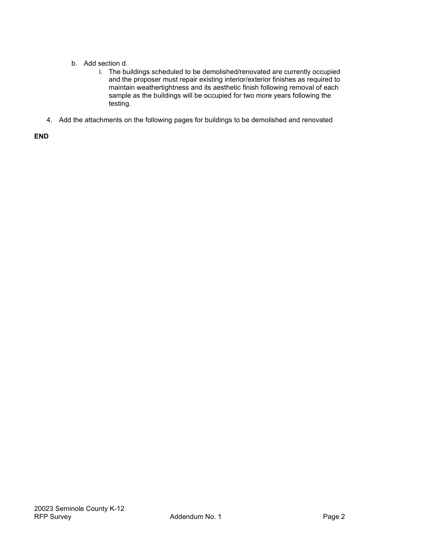- b. Add section d.
	- i. The buildings scheduled to be demolished/renovated are currently occupied and the proposer must repair existing interior/exterior finishes as required to maintain weathertightness and its aesthetic finish following removal of each sample as the buildings will be occupied for two more years following the testing.
- 4. Add the attachments on the following pages for buildings to be demolished and renovated

**END**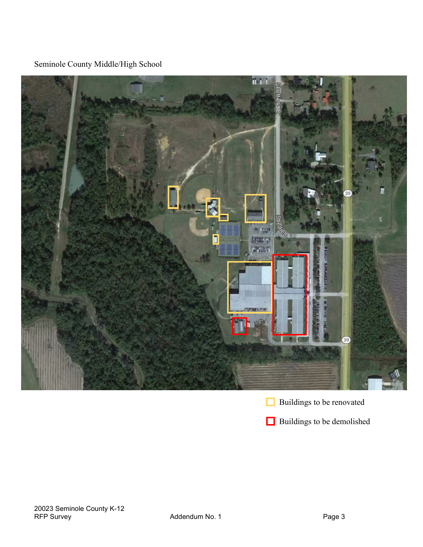Seminole County Middle/High School





**Buildings to be demolished**